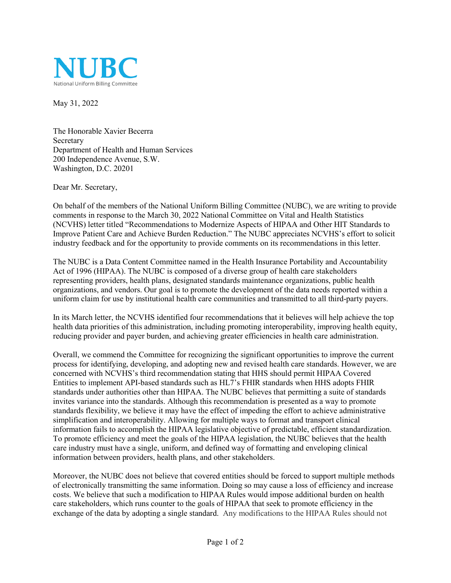

May 31, 2022

The Honorable Xavier Becerra Secretary Department of Health and Human Services 200 Independence Avenue, S.W. Washington, D.C. 20201

Dear Mr. Secretary,

On behalf of the members of the National Uniform Billing Committee (NUBC), we are writing to provide comments in response to the March 30, 2022 National Committee on Vital and Health Statistics (NCVHS) letter titled "Recommendations to Modernize Aspects of HIPAA and Other HIT Standards to Improve Patient Care and Achieve Burden Reduction." The NUBC appreciates NCVHS's effort to solicit industry feedback and for the opportunity to provide comments on its recommendations in this letter.

The NUBC is a Data Content Committee named in the Health Insurance Portability and Accountability Act of 1996 (HIPAA). The NUBC is composed of a diverse group of health care stakeholders representing providers, health plans, designated standards maintenance organizations, public health organizations, and vendors. Our goal is to promote the development of the data needs reported within a uniform claim for use by institutional health care communities and transmitted to all third-party payers.

In its March letter, the NCVHS identified four recommendations that it believes will help achieve the top health data priorities of this administration, including promoting interoperability, improving health equity, reducing provider and payer burden, and achieving greater efficiencies in health care administration.

Overall, we commend the Committee for recognizing the significant opportunities to improve the current process for identifying, developing, and adopting new and revised health care standards. However, we are concerned with NCVHS's third recommendation stating that HHS should permit HIPAA Covered Entities to implement API-based standards such as HL7's FHIR standards when HHS adopts FHIR standards under authorities other than HIPAA. The NUBC believes that permitting a suite of standards invites variance into the standards. Although this recommendation is presented as a way to promote standards flexibility, we believe it may have the effect of impeding the effort to achieve administrative simplification and interoperability. Allowing for multiple ways to format and transport clinical information fails to accomplish the HIPAA legislative objective of predictable, efficient standardization. To promote efficiency and meet the goals of the HIPAA legislation, the NUBC believes that the health care industry must have a single, uniform, and defined way of formatting and enveloping clinical information between providers, health plans, and other stakeholders.

Moreover, the NUBC does not believe that covered entities should be forced to support multiple methods of electronically transmitting the same information. Doing so may cause a loss of efficiency and increase costs. We believe that such a modification to HIPAA Rules would impose additional burden on health care stakeholders, which runs counter to the goals of HIPAA that seek to promote efficiency in the exchange of the data by adopting a single standard. Any modifications to the HIPAA Rules should not